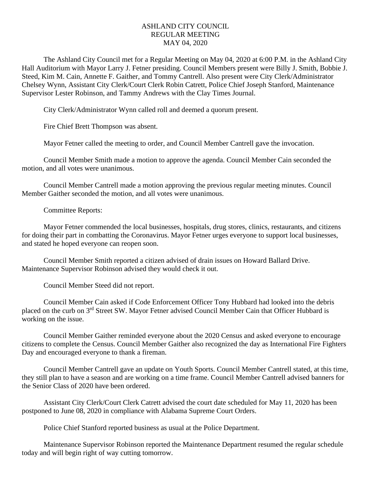## ASHLAND CITY COUNCIL REGULAR MEETING MAY 04, 2020

The Ashland City Council met for a Regular Meeting on May 04, 2020 at 6:00 P.M. in the Ashland City Hall Auditorium with Mayor Larry J. Fetner presiding. Council Members present were Billy J. Smith, Bobbie J. Steed, Kim M. Cain, Annette F. Gaither, and Tommy Cantrell. Also present were City Clerk/Administrator Chelsey Wynn, Assistant City Clerk/Court Clerk Robin Catrett, Police Chief Joseph Stanford, Maintenance Supervisor Lester Robinson, and Tammy Andrews with the Clay Times Journal.

City Clerk/Administrator Wynn called roll and deemed a quorum present.

Fire Chief Brett Thompson was absent.

Mayor Fetner called the meeting to order, and Council Member Cantrell gave the invocation.

Council Member Smith made a motion to approve the agenda. Council Member Cain seconded the motion, and all votes were unanimous.

Council Member Cantrell made a motion approving the previous regular meeting minutes. Council Member Gaither seconded the motion, and all votes were unanimous.

Committee Reports:

Mayor Fetner commended the local businesses, hospitals, drug stores, clinics, restaurants, and citizens for doing their part in combatting the Coronavirus. Mayor Fetner urges everyone to support local businesses, and stated he hoped everyone can reopen soon.

Council Member Smith reported a citizen advised of drain issues on Howard Ballard Drive. Maintenance Supervisor Robinson advised they would check it out.

Council Member Steed did not report.

Council Member Cain asked if Code Enforcement Officer Tony Hubbard had looked into the debris placed on the curb on 3rd Street SW. Mayor Fetner advised Council Member Cain that Officer Hubbard is working on the issue.

Council Member Gaither reminded everyone about the 2020 Census and asked everyone to encourage citizens to complete the Census. Council Member Gaither also recognized the day as International Fire Fighters Day and encouraged everyone to thank a fireman.

Council Member Cantrell gave an update on Youth Sports. Council Member Cantrell stated, at this time, they still plan to have a season and are working on a time frame. Council Member Cantrell advised banners for the Senior Class of 2020 have been ordered.

Assistant City Clerk/Court Clerk Catrett advised the court date scheduled for May 11, 2020 has been postponed to June 08, 2020 in compliance with Alabama Supreme Court Orders.

Police Chief Stanford reported business as usual at the Police Department.

Maintenance Supervisor Robinson reported the Maintenance Department resumed the regular schedule today and will begin right of way cutting tomorrow.